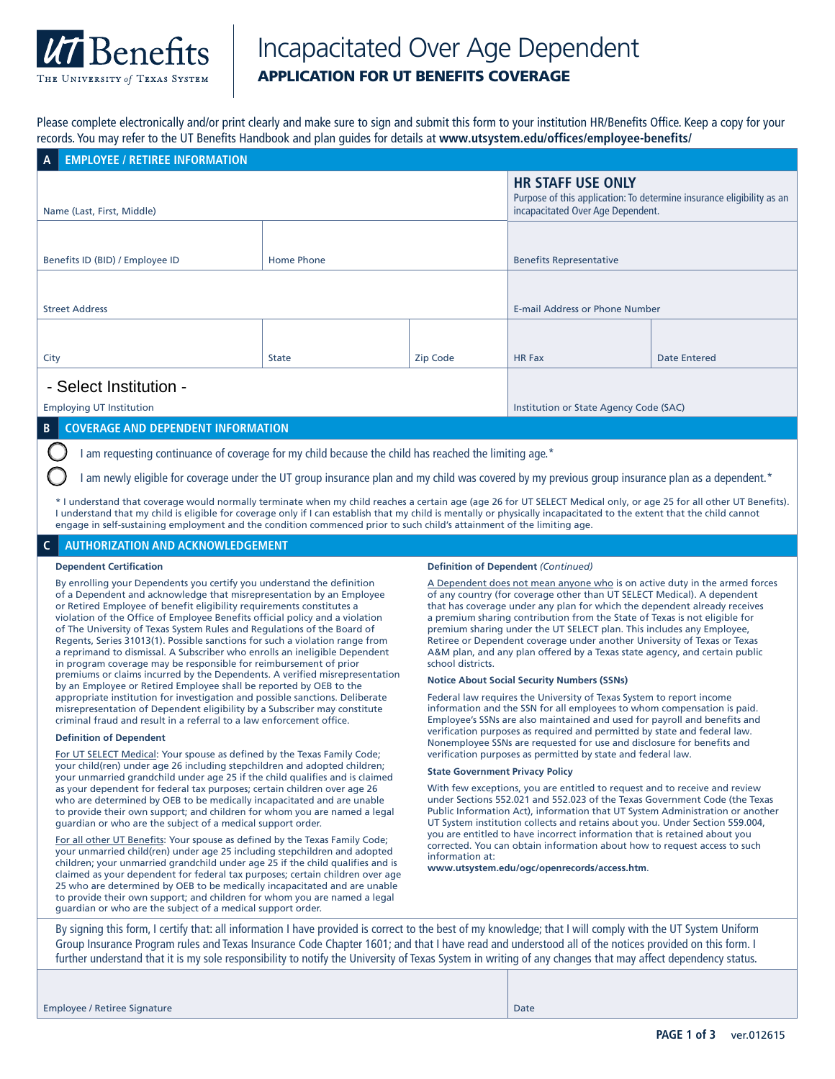

# Incapacitated Over Age Dependent APPLICATION FOR UT BENEFITS COVERAGE

Please complete electronically and/or print clearly and make sure to sign and submit this form to your institution HR/Benefits Office. Keep a copy for your records. You may refer to the UT Benefits Handbook and plan guides for details at **www.utsystem.edu/offices/employee-benefits/**

| A EMPLOYEE / RETIREE INFORMATION                                                                    |                                                                                                                                        |          |                                        |              |  |  |
|-----------------------------------------------------------------------------------------------------|----------------------------------------------------------------------------------------------------------------------------------------|----------|----------------------------------------|--------------|--|--|
| Name (Last, First, Middle)                                                                          | <b>HR STAFF USE ONLY</b><br>Purpose of this application: To determine insurance eligibility as an<br>incapacitated Over Age Dependent. |          |                                        |              |  |  |
|                                                                                                     |                                                                                                                                        |          |                                        |              |  |  |
| Benefits ID (BID) / Employee ID                                                                     | <b>Home Phone</b>                                                                                                                      |          | <b>Benefits Representative</b>         |              |  |  |
|                                                                                                     |                                                                                                                                        |          |                                        |              |  |  |
| <b>Street Address</b>                                                                               |                                                                                                                                        |          | E-mail Address or Phone Number         |              |  |  |
|                                                                                                     |                                                                                                                                        |          |                                        |              |  |  |
| City                                                                                                | <b>State</b>                                                                                                                           | Zip Code | <b>HR Fax</b>                          | Date Entered |  |  |
| - Select Institution -                                                                              |                                                                                                                                        |          |                                        |              |  |  |
| <b>Employing UT Institution</b>                                                                     |                                                                                                                                        |          | Institution or State Agency Code (SAC) |              |  |  |
| <b>COVERAGE AND DEPENDENT INFORMATION</b><br>$\overline{B}$                                         |                                                                                                                                        |          |                                        |              |  |  |
| am requesting continuance of coverage for my child because the child has reached the limiting age.* |                                                                                                                                        |          |                                        |              |  |  |

I am newly eligible for coverage under the UT group insurance plan and my child was covered by my previous group insurance plan as a dependent.\*

\* I understand that coverage would normally terminate when my child reaches a certain age (age 26 for UT SELECT Medical only, or age 25 for all other UT Benefits). I understand that my child is eligible for coverage only if I can establish that my child is mentally or physically incapacitated to the extent that the child cannot engage in self-sustaining employment and the condition commenced prior to such child's attainment of the limiting age.

# **C AUTHORIZATION AND ACKNOWLEDGEMENT**

## **Dependent Certification**

By enrolling your Dependents you certify you understand the definition of a Dependent and acknowledge that misrepresentation by an Employee or Retired Employee of benefit eligibility requirements constitutes a violation of the Office of Employee Benefits official policy and a violation of The University of Texas System Rules and Regulations of the Board of Regents, Series 31013(1). Possible sanctions for such a violation range from a reprimand to dismissal. A Subscriber who enrolls an ineligible Dependent in program coverage may be responsible for reimbursement of prior premiums or claims incurred by the Dependents. A verified misrepresentation by an Employee or Retired Employee shall be reported by OEB to the appropriate institution for investigation and possible sanctions. Deliberate misrepresentation of Dependent eligibility by a Subscriber may constitute criminal fraud and result in a referral to a law enforcement office.

#### **Definition of Dependent**

For UT SELECT Medical: Your spouse as defined by the Texas Family Code; your child(ren) under age 26 including stepchildren and adopted children; your unmarried grandchild under age 25 if the child qualifies and is claimed as your dependent for federal tax purposes; certain children over age 26 who are determined by OEB to be medically incapacitated and are unable to provide their own support; and children for whom you are named a legal guardian or who are the subject of a medical support order.

For all other UT Benefits: Your spouse as defined by the Texas Family Code; your unmarried child(ren) under age 25 including stepchildren and adopted children; your unmarried grandchild under age 25 if the child qualifies and is claimed as your dependent for federal tax purposes; certain children over age 25 who are determined by OEB to be medically incapacitated and are unable to provide their own support; and children for whom you are named a legal guardian or who are the subject of a medical support order.

## **Definition of Dependent** *(Continued)*

A Dependent does not mean anyone who is on active duty in the armed forces of any country (for coverage other than UT SELECT Medical). A dependent that has coverage under any plan for which the dependent already receives a premium sharing contribution from the State of Texas is not eligible for premium sharing under the UT SELECT plan. This includes any Employee, Retiree or Dependent coverage under another University of Texas or Texas A&M plan, and any plan offered by a Texas state agency, and certain public school districts.

# **Notice About Social Security Numbers (SSNs)**

Federal law requires the University of Texas System to report income information and the SSN for all employees to whom compensation is paid. Employee's SSNs are also maintained and used for payroll and benefits and verification purposes as required and permitted by state and federal law. Nonemployee SSNs are requested for use and disclosure for benefits and verification purposes as permitted by state and federal law.

# **State Government Privacy Policy**

With few exceptions, you are entitled to request and to receive and review under Sections 552.021 and 552.023 of the Texas Government Code (the Texas Public Information Act), information that UT System Administration or another UT System institution collects and retains about you. Under Section 559.004, you are entitled to have incorrect information that is retained about you corrected. You can obtain information about how to request access to such information at:

**www.utsystem.edu/ogc/openrecords/access.htm**.

By signing this form, I certify that: all information I have provided is correct to the best of my knowledge; that I will comply with the UT System Uniform Group Insurance Program rules and Texas Insurance Code Chapter 1601; and that I have read and understood all of the notices provided on this form. I further understand that it is my sole responsibility to notify the University of Texas System in writing of any changes that may affect dependency status.

| <b>Employee / Retiree Signature</b> | Date |
|-------------------------------------|------|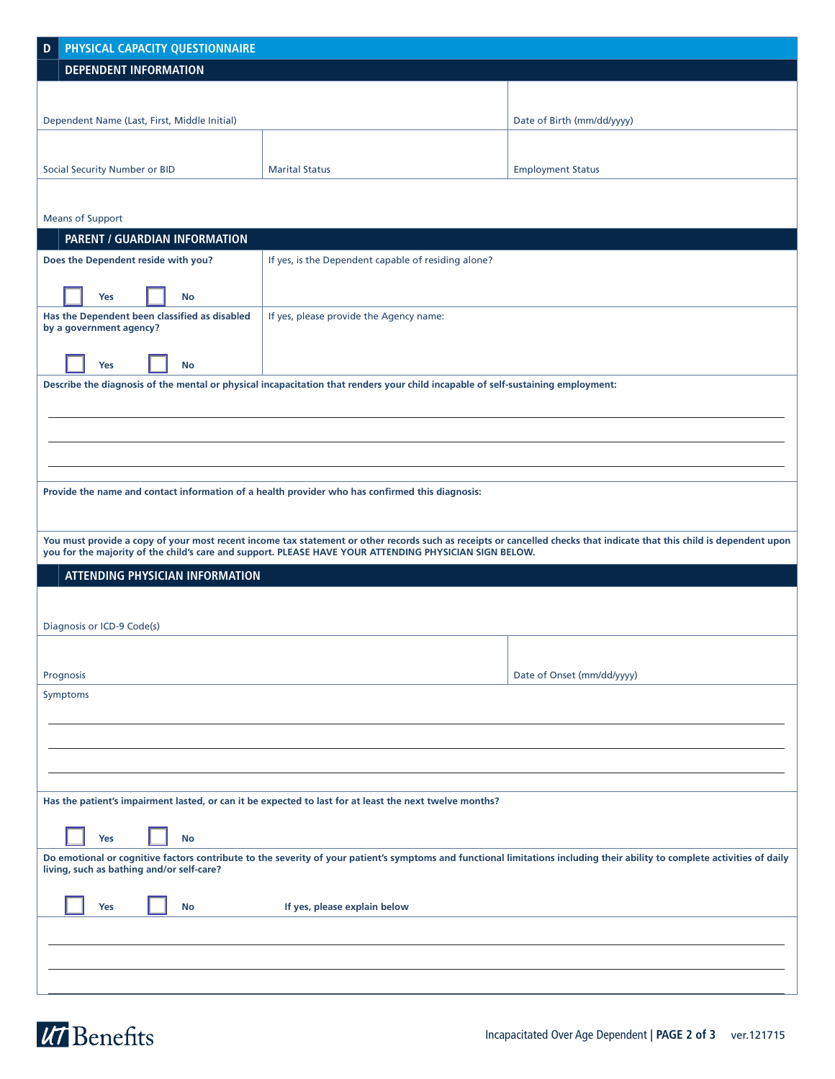| D                                                                                                                                                                                                                       | PHYSICAL CAPACITY QUESTIONNAIRE |                                      |  |                                               |                                                                                                                                  |                                                                                                                                                                        |
|-------------------------------------------------------------------------------------------------------------------------------------------------------------------------------------------------------------------------|---------------------------------|--------------------------------------|--|-----------------------------------------------|----------------------------------------------------------------------------------------------------------------------------------|------------------------------------------------------------------------------------------------------------------------------------------------------------------------|
|                                                                                                                                                                                                                         |                                 | <b>DEPENDENT INFORMATION</b>         |  |                                               |                                                                                                                                  |                                                                                                                                                                        |
|                                                                                                                                                                                                                         |                                 |                                      |  |                                               |                                                                                                                                  |                                                                                                                                                                        |
| Dependent Name (Last, First, Middle Initial)                                                                                                                                                                            |                                 |                                      |  |                                               |                                                                                                                                  | Date of Birth (mm/dd/yyyy)                                                                                                                                             |
|                                                                                                                                                                                                                         |                                 |                                      |  |                                               |                                                                                                                                  |                                                                                                                                                                        |
|                                                                                                                                                                                                                         |                                 |                                      |  |                                               |                                                                                                                                  |                                                                                                                                                                        |
|                                                                                                                                                                                                                         |                                 | <b>Social Security Number or BID</b> |  |                                               | <b>Marital Status</b>                                                                                                            | <b>Employment Status</b>                                                                                                                                               |
|                                                                                                                                                                                                                         |                                 |                                      |  |                                               |                                                                                                                                  |                                                                                                                                                                        |
|                                                                                                                                                                                                                         |                                 | <b>Means of Support</b>              |  |                                               |                                                                                                                                  |                                                                                                                                                                        |
|                                                                                                                                                                                                                         |                                 |                                      |  | PARENT / GUARDIAN INFORMATION                 |                                                                                                                                  |                                                                                                                                                                        |
|                                                                                                                                                                                                                         |                                 | Does the Dependent reside with you?  |  |                                               | If yes, is the Dependent capable of residing alone?                                                                              |                                                                                                                                                                        |
|                                                                                                                                                                                                                         |                                 |                                      |  |                                               |                                                                                                                                  |                                                                                                                                                                        |
|                                                                                                                                                                                                                         |                                 | <b>Yes</b>                           |  | No                                            |                                                                                                                                  |                                                                                                                                                                        |
|                                                                                                                                                                                                                         |                                 | by a government agency?              |  | Has the Dependent been classified as disabled | If yes, please provide the Agency name:                                                                                          |                                                                                                                                                                        |
|                                                                                                                                                                                                                         |                                 |                                      |  |                                               |                                                                                                                                  |                                                                                                                                                                        |
|                                                                                                                                                                                                                         |                                 | Yes                                  |  | No                                            |                                                                                                                                  |                                                                                                                                                                        |
|                                                                                                                                                                                                                         |                                 |                                      |  |                                               | Describe the diagnosis of the mental or physical incapacitation that renders your child incapable of self-sustaining employment: |                                                                                                                                                                        |
|                                                                                                                                                                                                                         |                                 |                                      |  |                                               |                                                                                                                                  |                                                                                                                                                                        |
|                                                                                                                                                                                                                         |                                 |                                      |  |                                               |                                                                                                                                  |                                                                                                                                                                        |
|                                                                                                                                                                                                                         |                                 |                                      |  |                                               |                                                                                                                                  |                                                                                                                                                                        |
|                                                                                                                                                                                                                         |                                 |                                      |  |                                               |                                                                                                                                  |                                                                                                                                                                        |
|                                                                                                                                                                                                                         |                                 |                                      |  |                                               | Provide the name and contact information of a health provider who has confirmed this diagnosis:                                  |                                                                                                                                                                        |
|                                                                                                                                                                                                                         |                                 |                                      |  |                                               |                                                                                                                                  |                                                                                                                                                                        |
|                                                                                                                                                                                                                         |                                 |                                      |  |                                               |                                                                                                                                  |                                                                                                                                                                        |
|                                                                                                                                                                                                                         |                                 |                                      |  |                                               | you for the majority of the child's care and support. PLEASE HAVE YOUR ATTENDING PHYSICIAN SIGN BELOW.                           | You must provide a copy of your most recent income tax statement or other records such as receipts or cancelled checks that indicate that this child is dependent upon |
|                                                                                                                                                                                                                         |                                 |                                      |  | <b>ATTENDING PHYSICIAN INFORMATION</b>        |                                                                                                                                  |                                                                                                                                                                        |
|                                                                                                                                                                                                                         |                                 |                                      |  |                                               |                                                                                                                                  |                                                                                                                                                                        |
|                                                                                                                                                                                                                         |                                 |                                      |  |                                               |                                                                                                                                  |                                                                                                                                                                        |
|                                                                                                                                                                                                                         |                                 | Diagnosis or ICD-9 Code(s)           |  |                                               |                                                                                                                                  |                                                                                                                                                                        |
|                                                                                                                                                                                                                         |                                 |                                      |  |                                               |                                                                                                                                  |                                                                                                                                                                        |
|                                                                                                                                                                                                                         | Prognosis                       |                                      |  |                                               |                                                                                                                                  | Date of Onset (mm/dd/yyyy)                                                                                                                                             |
|                                                                                                                                                                                                                         | Symptoms                        |                                      |  |                                               |                                                                                                                                  |                                                                                                                                                                        |
|                                                                                                                                                                                                                         |                                 |                                      |  |                                               |                                                                                                                                  |                                                                                                                                                                        |
|                                                                                                                                                                                                                         |                                 |                                      |  |                                               |                                                                                                                                  |                                                                                                                                                                        |
|                                                                                                                                                                                                                         |                                 |                                      |  |                                               |                                                                                                                                  |                                                                                                                                                                        |
|                                                                                                                                                                                                                         |                                 |                                      |  |                                               |                                                                                                                                  |                                                                                                                                                                        |
| Has the patient's impairment lasted, or can it be expected to last for at least the next twelve months?                                                                                                                 |                                 |                                      |  |                                               |                                                                                                                                  |                                                                                                                                                                        |
|                                                                                                                                                                                                                         |                                 |                                      |  |                                               |                                                                                                                                  |                                                                                                                                                                        |
|                                                                                                                                                                                                                         |                                 | Yes                                  |  | No                                            |                                                                                                                                  |                                                                                                                                                                        |
| Do emotional or cognitive factors contribute to the severity of your patient's symptoms and functional limitations including their ability to complete activities of daily<br>living, such as bathing and/or self-care? |                                 |                                      |  |                                               |                                                                                                                                  |                                                                                                                                                                        |
|                                                                                                                                                                                                                         |                                 |                                      |  |                                               |                                                                                                                                  |                                                                                                                                                                        |
|                                                                                                                                                                                                                         |                                 | Yes                                  |  | No                                            | If yes, please explain below                                                                                                     |                                                                                                                                                                        |
|                                                                                                                                                                                                                         |                                 |                                      |  |                                               |                                                                                                                                  |                                                                                                                                                                        |
|                                                                                                                                                                                                                         |                                 |                                      |  |                                               |                                                                                                                                  |                                                                                                                                                                        |
|                                                                                                                                                                                                                         |                                 |                                      |  |                                               |                                                                                                                                  |                                                                                                                                                                        |
|                                                                                                                                                                                                                         |                                 |                                      |  |                                               |                                                                                                                                  |                                                                                                                                                                        |